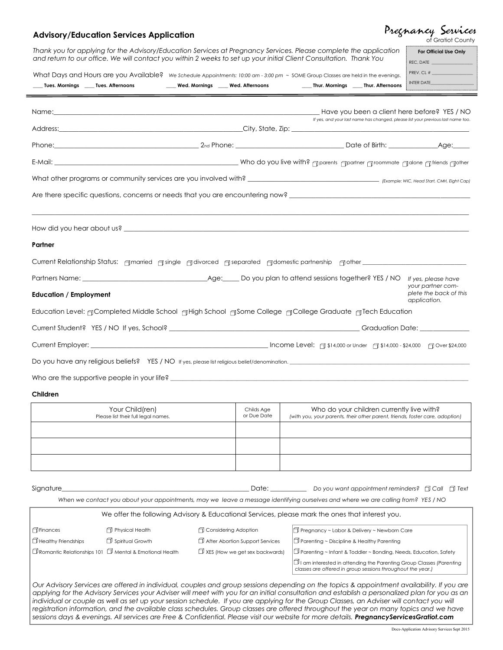## **Advisory/Education Services Application**

| Pregnancy Services |  |                   |
|--------------------|--|-------------------|
|                    |  | of Gratiot County |

| What Days and Hours are you Available? We schedule Appointments: 10:00 am - 3:00 pm $\sim$ SOME Group Classes are held in the evenings.<br>Tues. Mornings _____ Tues. Afternoons                                                                                                             |                                                             | Wed. Mornings ____ Wed. Afternoons    |                                                                                                                                                                                                                      |                                                                                                                                           | _____ Thur. Mornings _____ Thur. Afternoons | PREV. CL #<br>INTER DATE And the state of the state of the                                                                       |
|----------------------------------------------------------------------------------------------------------------------------------------------------------------------------------------------------------------------------------------------------------------------------------------------|-------------------------------------------------------------|---------------------------------------|----------------------------------------------------------------------------------------------------------------------------------------------------------------------------------------------------------------------|-------------------------------------------------------------------------------------------------------------------------------------------|---------------------------------------------|----------------------------------------------------------------------------------------------------------------------------------|
|                                                                                                                                                                                                                                                                                              |                                                             |                                       |                                                                                                                                                                                                                      |                                                                                                                                           |                                             | Have you been a client here before? YES / NO<br>If yes, and your last name has changed, please list your previous last name too. |
|                                                                                                                                                                                                                                                                                              |                                                             |                                       |                                                                                                                                                                                                                      |                                                                                                                                           |                                             |                                                                                                                                  |
|                                                                                                                                                                                                                                                                                              |                                                             |                                       |                                                                                                                                                                                                                      |                                                                                                                                           |                                             |                                                                                                                                  |
|                                                                                                                                                                                                                                                                                              |                                                             |                                       |                                                                                                                                                                                                                      |                                                                                                                                           |                                             |                                                                                                                                  |
|                                                                                                                                                                                                                                                                                              |                                                             |                                       |                                                                                                                                                                                                                      |                                                                                                                                           |                                             |                                                                                                                                  |
|                                                                                                                                                                                                                                                                                              |                                                             |                                       |                                                                                                                                                                                                                      |                                                                                                                                           |                                             |                                                                                                                                  |
|                                                                                                                                                                                                                                                                                              |                                                             |                                       |                                                                                                                                                                                                                      |                                                                                                                                           |                                             |                                                                                                                                  |
| Partner                                                                                                                                                                                                                                                                                      |                                                             |                                       |                                                                                                                                                                                                                      |                                                                                                                                           |                                             |                                                                                                                                  |
| Current Relationship Status: Amarried Asingle Adivorced Aseparated Adomestic partnership Aother Communicationship Status:                                                                                                                                                                    |                                                             |                                       |                                                                                                                                                                                                                      |                                                                                                                                           |                                             |                                                                                                                                  |
|                                                                                                                                                                                                                                                                                              |                                                             |                                       |                                                                                                                                                                                                                      |                                                                                                                                           |                                             | If yes, please have                                                                                                              |
| <b>Education / Employment</b>                                                                                                                                                                                                                                                                | your partner com-<br>plete the back of this<br>application. |                                       |                                                                                                                                                                                                                      |                                                                                                                                           |                                             |                                                                                                                                  |
| Education Level: <sub>∏</sub> Completed Middle School <sub>∏</sub> High School <sub>∏</sub> Some College <sub>∏</sub> College Graduate <sub>∏</sub> Tech Education                                                                                                                           |                                                             |                                       |                                                                                                                                                                                                                      |                                                                                                                                           |                                             |                                                                                                                                  |
|                                                                                                                                                                                                                                                                                              |                                                             |                                       |                                                                                                                                                                                                                      |                                                                                                                                           |                                             |                                                                                                                                  |
|                                                                                                                                                                                                                                                                                              |                                                             |                                       |                                                                                                                                                                                                                      |                                                                                                                                           |                                             |                                                                                                                                  |
|                                                                                                                                                                                                                                                                                              |                                                             |                                       |                                                                                                                                                                                                                      |                                                                                                                                           |                                             |                                                                                                                                  |
| Who are the supportive people in your life? $\blacksquare$                                                                                                                                                                                                                                   |                                                             |                                       |                                                                                                                                                                                                                      |                                                                                                                                           |                                             |                                                                                                                                  |
| Children                                                                                                                                                                                                                                                                                     |                                                             |                                       |                                                                                                                                                                                                                      |                                                                                                                                           |                                             |                                                                                                                                  |
|                                                                                                                                                                                                                                                                                              | Your Child(ren)<br>Please list their full legal names.      |                                       | Childs Age<br>or Due Date                                                                                                                                                                                            | (with you, your parents, their other parent, friends, foster care, adoption)                                                              | Who do your children currently live with?   |                                                                                                                                  |
|                                                                                                                                                                                                                                                                                              |                                                             |                                       |                                                                                                                                                                                                                      |                                                                                                                                           |                                             |                                                                                                                                  |
|                                                                                                                                                                                                                                                                                              |                                                             |                                       |                                                                                                                                                                                                                      |                                                                                                                                           |                                             |                                                                                                                                  |
|                                                                                                                                                                                                                                                                                              |                                                             |                                       |                                                                                                                                                                                                                      |                                                                                                                                           |                                             |                                                                                                                                  |
|                                                                                                                                                                                                                                                                                              |                                                             |                                       |                                                                                                                                                                                                                      |                                                                                                                                           |                                             |                                                                                                                                  |
| Signature_                                                                                                                                                                                                                                                                                   |                                                             |                                       |                                                                                                                                                                                                                      | Date: Do you want appointment reminders? [Call [ Text                                                                                     |                                             |                                                                                                                                  |
|                                                                                                                                                                                                                                                                                              |                                                             |                                       | When we contact you about your appointments, may we leave a message identifying ourselves and where we are calling from? YES / NO                                                                                    |                                                                                                                                           |                                             |                                                                                                                                  |
|                                                                                                                                                                                                                                                                                              |                                                             |                                       | We offer the following Advisory & Educational Services, please mark the ones that interest you.                                                                                                                      |                                                                                                                                           |                                             |                                                                                                                                  |
| <b>T</b> Finances                                                                                                                                                                                                                                                                            | Physical Health                                             |                                       | Considering Adoption                                                                                                                                                                                                 | T Pregnancy ~ Labor & Delivery ~ Newborn Care                                                                                             |                                             |                                                                                                                                  |
| $\Box$ Healthy Friendships                                                                                                                                                                                                                                                                   | Spiritual Growth                                            |                                       | After Abortion Support Services                                                                                                                                                                                      | $\Box$ Parenting ~ Discipline & Healthy Parenting                                                                                         |                                             |                                                                                                                                  |
| $\Box$ Romantic Relationships 101 $\Box$ Mental & Emotional Health                                                                                                                                                                                                                           |                                                             | $\Box$ XES (How we get sex backwards) | $\Box$ Parenting ~ Infant & Toddler ~ Bonding, Needs, Education, Safety<br>$\Box$ I am interested in attending the Parenting Group Classes (Parenting<br>classes are offered in group sessions throughout the year.) |                                                                                                                                           |                                             |                                                                                                                                  |
| Our Advisory Services are offered in individual, couples and group sessions depending on the topics & appointment availability. If you are<br>applying for the Advisory Services your Adviser will meet with you for an initial consultation and establish a personalized plan for you as an |                                                             |                                       |                                                                                                                                                                                                                      | individual or couple as well as set up your session schedule. If you are applying for the Group Classes, an Adviser will contact you will |                                             |                                                                                                                                  |

*registration information, and the available class schedules. Group classes are offered throughout the year on many topics and we have sessions days & evenings. All services are Free & Confidential. Please visit our website for more details. PregnancyServicesGratiot.com* 

Docs-Application Advisory Services Sept 2015